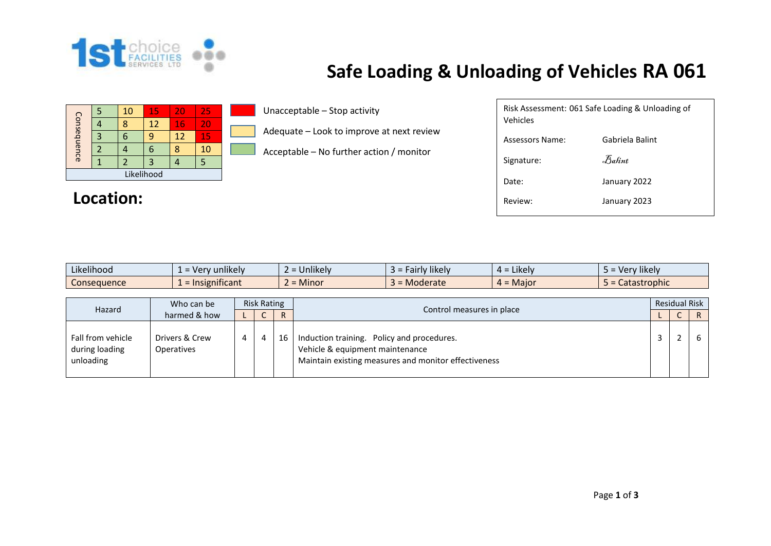

## **Safe Loading & Unloading of Vehicles RA 061**

| Consequence |  | 10 | 15 | 20 | 25 |  |  |  |
|-------------|--|----|----|----|----|--|--|--|
|             |  | 8  | 12 | 16 | 20 |  |  |  |
|             |  |    | q  | 12 | 15 |  |  |  |
|             |  |    | 6  |    | 10 |  |  |  |
|             |  |    |    |    |    |  |  |  |
| Likelihood  |  |    |    |    |    |  |  |  |

## Location:

Unacceptable – Stop activity

Adequate – Look to improve at next review

Acceptable – No further action / monitor

| Risk Assessment: 061 Safe Loading & Unloading of<br>Vehicles |                 |  |  |  |  |  |  |
|--------------------------------------------------------------|-----------------|--|--|--|--|--|--|
| Assessors Name:                                              | Gabriela Balint |  |  |  |  |  |  |
| Signature:                                                   | Balint          |  |  |  |  |  |  |
| Date:                                                        | January 2022    |  |  |  |  |  |  |
| Review:                                                      | January 2023    |  |  |  |  |  |  |
|                                                              |                 |  |  |  |  |  |  |

| ---<br>$\cdots$<br>Likelihood | $\cdots$<br>unlikely<br>$\sim$<br>$\mathbf{v}$<br><b>CI</b> | .<br>Jnlikelv                     | $\cdots$<br>$\sim$ airiy likely $\sim$ | .<br>Likely<br>∸ ∸ | ∵lıkely.<br>10r<br>--- |
|-------------------------------|-------------------------------------------------------------|-----------------------------------|----------------------------------------|--------------------|------------------------|
| <b>Consequence</b>            | $\sim$ $\sim$<br>Insignificant                              | Minor<br>$\overline{\phantom{0}}$ | <b>Moderate</b>                        | Major<br>∸ ∸       | Catastrophic           |

| Who can be<br>Hazard<br>harmed & how             |                              | <b>Risk Rating</b> |  |                           |                                                                                                                                       |  | <b>Residual Risk</b> |  |  |
|--------------------------------------------------|------------------------------|--------------------|--|---------------------------|---------------------------------------------------------------------------------------------------------------------------------------|--|----------------------|--|--|
|                                                  |                              | ັ                  |  | Control measures in place |                                                                                                                                       |  |                      |  |  |
| Fall from vehicle<br>during loading<br>unloading | Drivers & Crew<br>Operatives | $\overline{4}$     |  | 16                        | Induction training. Policy and procedures.<br>Vehicle & equipment maintenance<br>Maintain existing measures and monitor effectiveness |  |                      |  |  |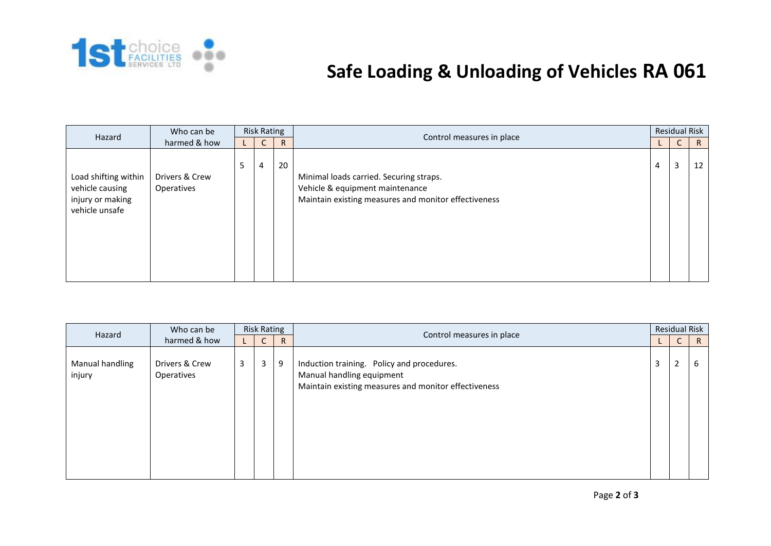

## **Safe Loading & Unloading of Vehicles RA 061**

| Hazard                                                                        | Who can be                   |   | <b>Risk Rating</b> |              | Control measures in place                                                                                                          |   | <b>Residual Risk</b> |    |
|-------------------------------------------------------------------------------|------------------------------|---|--------------------|--------------|------------------------------------------------------------------------------------------------------------------------------------|---|----------------------|----|
| harmed & how                                                                  |                              |   | $\sqrt{2}$<br>U    | $\mathsf{R}$ |                                                                                                                                    |   | $\mathsf{C}$         | R. |
| Load shifting within<br>vehicle causing<br>injury or making<br>vehicle unsafe | Drivers & Crew<br>Operatives | 5 | 4                  | 20           | Minimal loads carried. Securing straps.<br>Vehicle & equipment maintenance<br>Maintain existing measures and monitor effectiveness | 4 | 3                    | 12 |

| Who can be<br>Hazard      |                              |   | <b>Risk Rating</b> |              |                                                                                                                                 |                | <b>Residual Risk</b> |   |  |
|---------------------------|------------------------------|---|--------------------|--------------|---------------------------------------------------------------------------------------------------------------------------------|----------------|----------------------|---|--|
|                           | harmed & how                 |   | ∽<br>U             | $\mathsf{R}$ | Control measures in place                                                                                                       |                | $\sqrt{2}$<br>U      | R |  |
| Manual handling<br>injury | Drivers & Crew<br>Operatives | 3 | 3                  | 9            | Induction training. Policy and procedures.<br>Manual handling equipment<br>Maintain existing measures and monitor effectiveness | $\overline{3}$ | 2                    | b |  |